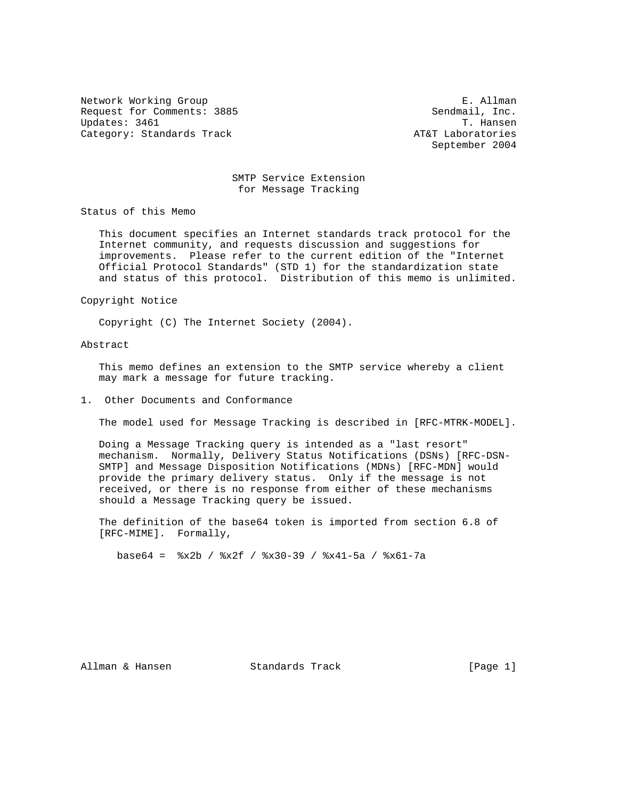Network Working Group **E. Allman** Request for Comments: 3885 Sendmail, Inc.<br>Updates: 3461 T. Hansen Updates: 3461 Category: Standards Track AT&T Laboratories

September 2004

### SMTP Service Extension for Message Tracking

Status of this Memo

 This document specifies an Internet standards track protocol for the Internet community, and requests discussion and suggestions for improvements. Please refer to the current edition of the "Internet Official Protocol Standards" (STD 1) for the standardization state and status of this protocol. Distribution of this memo is unlimited.

Copyright Notice

Copyright (C) The Internet Society (2004).

# Abstract

 This memo defines an extension to the SMTP service whereby a client may mark a message for future tracking.

#### 1. Other Documents and Conformance

The model used for Message Tracking is described in [RFC-MTRK-MODEL].

 Doing a Message Tracking query is intended as a "last resort" mechanism. Normally, Delivery Status Notifications (DSNs) [RFC-DSN- SMTP] and Message Disposition Notifications (MDNs) [RFC-MDN] would provide the primary delivery status. Only if the message is not received, or there is no response from either of these mechanisms should a Message Tracking query be issued.

 The definition of the base64 token is imported from section 6.8 of [RFC-MIME]. Formally,

base64 = %x2b / %x2f / %x30-39 / %x41-5a / %x61-7a

Allman & Hansen Standards Track [Page 1]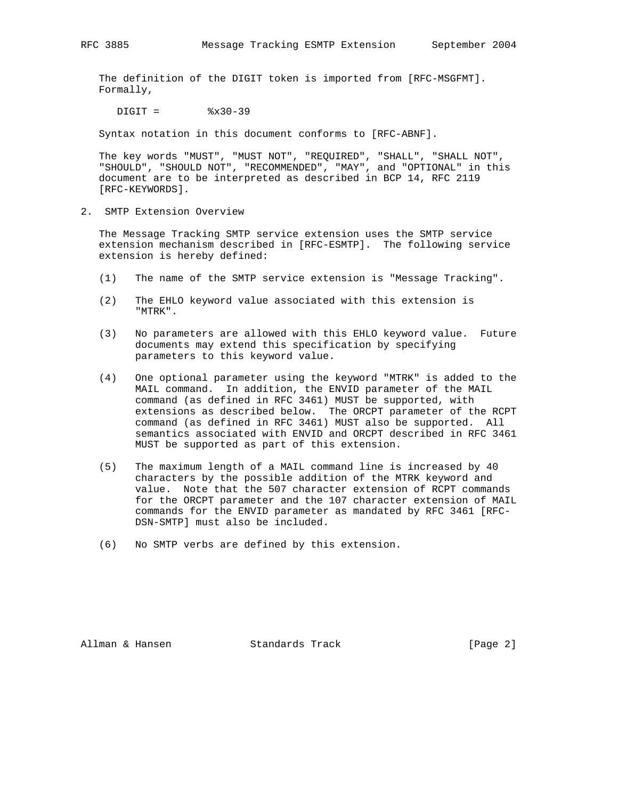The definition of the DIGIT token is imported from [RFC-MSGFMT]. Formally,

 $DIGIT =$   $%x30-39$ 

Syntax notation in this document conforms to [RFC-ABNF].

 The key words "MUST", "MUST NOT", "REQUIRED", "SHALL", "SHALL NOT", "SHOULD", "SHOULD NOT", "RECOMMENDED", "MAY", and "OPTIONAL" in this document are to be interpreted as described in BCP 14, RFC 2119 [RFC-KEYWORDS].

2. SMTP Extension Overview

 The Message Tracking SMTP service extension uses the SMTP service extension mechanism described in [RFC-ESMTP]. The following service extension is hereby defined:

- (1) The name of the SMTP service extension is "Message Tracking".
- (2) The EHLO keyword value associated with this extension is "MTRK".
- (3) No parameters are allowed with this EHLO keyword value. Future documents may extend this specification by specifying parameters to this keyword value.
- (4) One optional parameter using the keyword "MTRK" is added to the MAIL command. In addition, the ENVID parameter of the MAIL command (as defined in RFC 3461) MUST be supported, with extensions as described below. The ORCPT parameter of the RCPT command (as defined in RFC 3461) MUST also be supported. All semantics associated with ENVID and ORCPT described in RFC 3461 MUST be supported as part of this extension.
- (5) The maximum length of a MAIL command line is increased by 40 characters by the possible addition of the MTRK keyword and value. Note that the 507 character extension of RCPT commands for the ORCPT parameter and the 107 character extension of MAIL commands for the ENVID parameter as mandated by RFC 3461 [RFC- DSN-SMTP] must also be included.
- (6) No SMTP verbs are defined by this extension.

Allman & Hansen Standards Track [Page 2]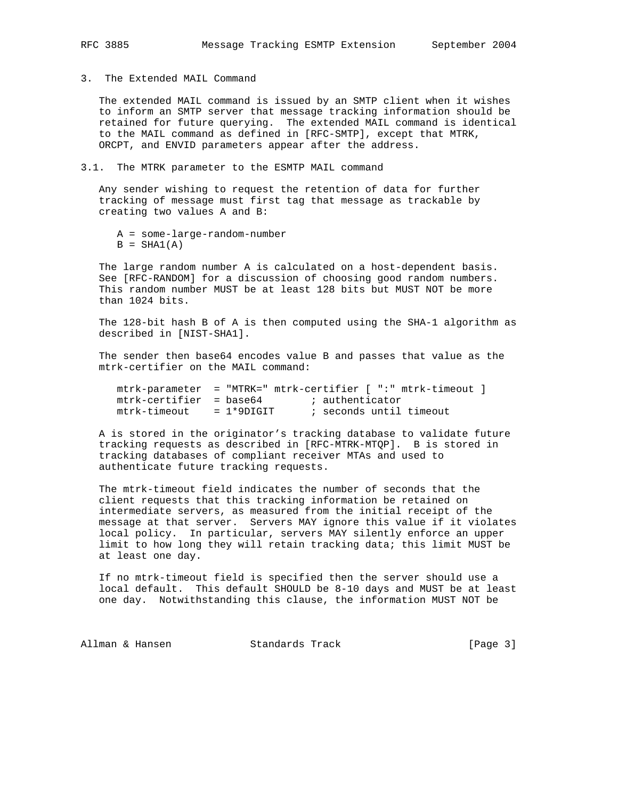3. The Extended MAIL Command

 The extended MAIL command is issued by an SMTP client when it wishes to inform an SMTP server that message tracking information should be retained for future querying. The extended MAIL command is identical to the MAIL command as defined in [RFC-SMTP], except that MTRK, ORCPT, and ENVID parameters appear after the address.

3.1. The MTRK parameter to the ESMTP MAIL command

 Any sender wishing to request the retention of data for further tracking of message must first tag that message as trackable by creating two values A and B:

- A = some-large-random-number
- $B = SHA1(A)$

 The large random number A is calculated on a host-dependent basis. See [RFC-RANDOM] for a discussion of choosing good random numbers. This random number MUST be at least 128 bits but MUST NOT be more than 1024 bits.

 The 128-bit hash B of A is then computed using the SHA-1 algorithm as described in [NIST-SHA1].

 The sender then base64 encodes value B and passes that value as the mtrk-certifier on the MAIL command:

|                         | mtrk-parameter = "MTRK=" mtrk-certifier [ ":" mtrk-timeout ] |
|-------------------------|--------------------------------------------------------------|
| mtrk-certifier = base64 | ; authenticator                                              |
| mtrk-timeout = 1*9DIGIT | ; seconds until timeout                                      |

 A is stored in the originator's tracking database to validate future tracking requests as described in [RFC-MTRK-MTQP]. B is stored in tracking databases of compliant receiver MTAs and used to authenticate future tracking requests.

 The mtrk-timeout field indicates the number of seconds that the client requests that this tracking information be retained on intermediate servers, as measured from the initial receipt of the message at that server. Servers MAY ignore this value if it violates local policy. In particular, servers MAY silently enforce an upper limit to how long they will retain tracking data; this limit MUST be at least one day.

 If no mtrk-timeout field is specified then the server should use a local default. This default SHOULD be 8-10 days and MUST be at least one day. Notwithstanding this clause, the information MUST NOT be

Allman & Hansen Standards Track [Page 3]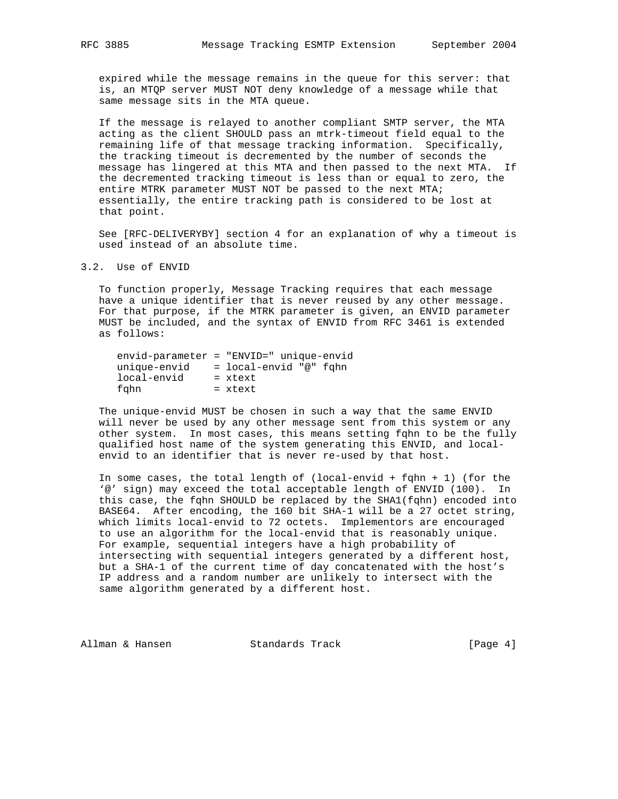expired while the message remains in the queue for this server: that is, an MTQP server MUST NOT deny knowledge of a message while that same message sits in the MTA queue.

 If the message is relayed to another compliant SMTP server, the MTA acting as the client SHOULD pass an mtrk-timeout field equal to the remaining life of that message tracking information. Specifically, the tracking timeout is decremented by the number of seconds the message has lingered at this MTA and then passed to the next MTA. If the decremented tracking timeout is less than or equal to zero, the entire MTRK parameter MUST NOT be passed to the next MTA; essentially, the entire tracking path is considered to be lost at that point.

 See [RFC-DELIVERYBY] section 4 for an explanation of why a timeout is used instead of an absolute time.

## 3.2. Use of ENVID

 To function properly, Message Tracking requires that each message have a unique identifier that is never reused by any other message. For that purpose, if the MTRK parameter is given, an ENVID parameter MUST be included, and the syntax of ENVID from RFC 3461 is extended as follows:

| $envid$ -parameter = "ENVID=" unique-envid |                        |  |  |
|--------------------------------------------|------------------------|--|--|
| unique-envid                               | = local-envid "@" fɑhn |  |  |
| local-envid                                | $=$ xtext              |  |  |
| fahn                                       | $=$ xtext              |  |  |

 The unique-envid MUST be chosen in such a way that the same ENVID will never be used by any other message sent from this system or any other system. In most cases, this means setting fqhn to be the fully qualified host name of the system generating this ENVID, and local envid to an identifier that is never re-used by that host.

In some cases, the total length of (local-envid + fqhn + 1) (for the '@' sign) may exceed the total acceptable length of ENVID (100). In this case, the fqhn SHOULD be replaced by the SHA1(fqhn) encoded into BASE64. After encoding, the 160 bit SHA-1 will be a 27 octet string, which limits local-envid to 72 octets. Implementors are encouraged to use an algorithm for the local-envid that is reasonably unique. For example, sequential integers have a high probability of intersecting with sequential integers generated by a different host, but a SHA-1 of the current time of day concatenated with the host's IP address and a random number are unlikely to intersect with the same algorithm generated by a different host.

Allman & Hansen Standards Track [Page 4]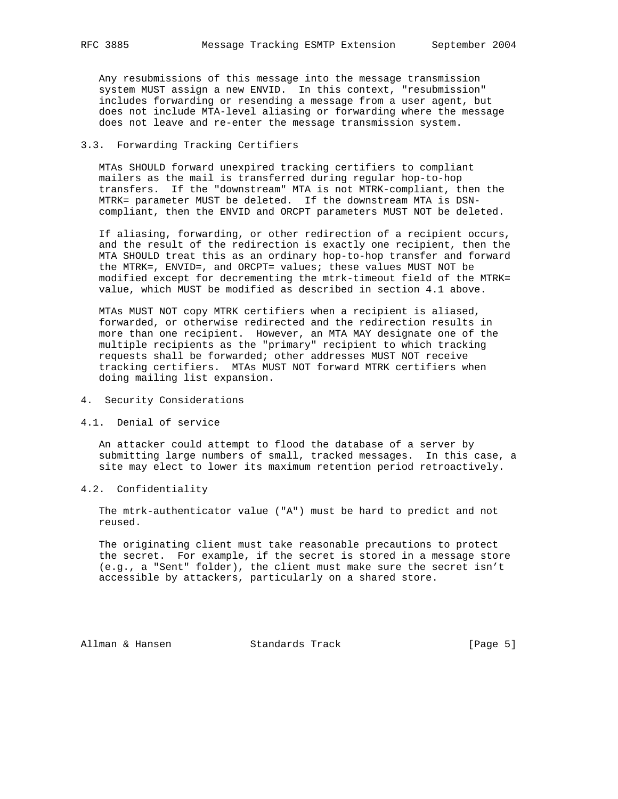Any resubmissions of this message into the message transmission system MUST assign a new ENVID. In this context, "resubmission" includes forwarding or resending a message from a user agent, but does not include MTA-level aliasing or forwarding where the message does not leave and re-enter the message transmission system.

## 3.3. Forwarding Tracking Certifiers

 MTAs SHOULD forward unexpired tracking certifiers to compliant mailers as the mail is transferred during regular hop-to-hop transfers. If the "downstream" MTA is not MTRK-compliant, then the MTRK= parameter MUST be deleted. If the downstream MTA is DSN compliant, then the ENVID and ORCPT parameters MUST NOT be deleted.

 If aliasing, forwarding, or other redirection of a recipient occurs, and the result of the redirection is exactly one recipient, then the MTA SHOULD treat this as an ordinary hop-to-hop transfer and forward the MTRK=, ENVID=, and ORCPT= values; these values MUST NOT be modified except for decrementing the mtrk-timeout field of the MTRK= value, which MUST be modified as described in section 4.1 above.

 MTAs MUST NOT copy MTRK certifiers when a recipient is aliased, forwarded, or otherwise redirected and the redirection results in more than one recipient. However, an MTA MAY designate one of the multiple recipients as the "primary" recipient to which tracking requests shall be forwarded; other addresses MUST NOT receive tracking certifiers. MTAs MUST NOT forward MTRK certifiers when doing mailing list expansion.

- 4. Security Considerations
- 4.1. Denial of service

 An attacker could attempt to flood the database of a server by submitting large numbers of small, tracked messages. In this case, a site may elect to lower its maximum retention period retroactively.

4.2. Confidentiality

 The mtrk-authenticator value ("A") must be hard to predict and not reused.

 The originating client must take reasonable precautions to protect the secret. For example, if the secret is stored in a message store (e.g., a "Sent" folder), the client must make sure the secret isn't accessible by attackers, particularly on a shared store.

Allman & Hansen Standards Track [Page 5]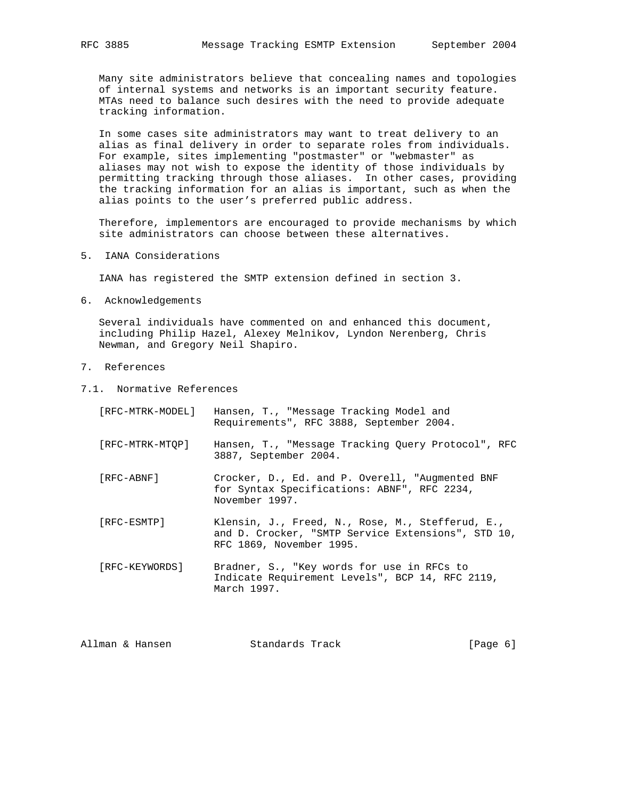Many site administrators believe that concealing names and topologies of internal systems and networks is an important security feature. MTAs need to balance such desires with the need to provide adequate tracking information.

 In some cases site administrators may want to treat delivery to an alias as final delivery in order to separate roles from individuals. For example, sites implementing "postmaster" or "webmaster" as aliases may not wish to expose the identity of those individuals by permitting tracking through those aliases. In other cases, providing the tracking information for an alias is important, such as when the alias points to the user's preferred public address.

 Therefore, implementors are encouraged to provide mechanisms by which site administrators can choose between these alternatives.

5. IANA Considerations

IANA has registered the SMTP extension defined in section 3.

6. Acknowledgements

 Several individuals have commented on and enhanced this document, including Philip Hazel, Alexey Melnikov, Lyndon Nerenberg, Chris Newman, and Gregory Neil Shapiro.

- 7. References
- 7.1. Normative References
	- [RFC-MTRK-MODEL] Hansen, T., "Message Tracking Model and Requirements", RFC 3888, September 2004. [RFC-MTRK-MTQP] Hansen, T., "Message Tracking Query Protocol", RFC 3887, September 2004. [RFC-ABNF] Crocker, D., Ed. and P. Overell, "Augmented BNF for Syntax Specifications: ABNF", RFC 2234, November 1997. [RFC-ESMTP] Klensin, J., Freed, N., Rose, M., Stefferud, E., and D. Crocker, "SMTP Service Extensions", STD 10, RFC 1869, November 1995. [RFC-KEYWORDS] Bradner, S., "Key words for use in RFCs to Indicate Requirement Levels", BCP 14, RFC 2119, March 1997.

| Allman & Hansen | Standards Track | [Page 6] |  |
|-----------------|-----------------|----------|--|
|                 |                 |          |  |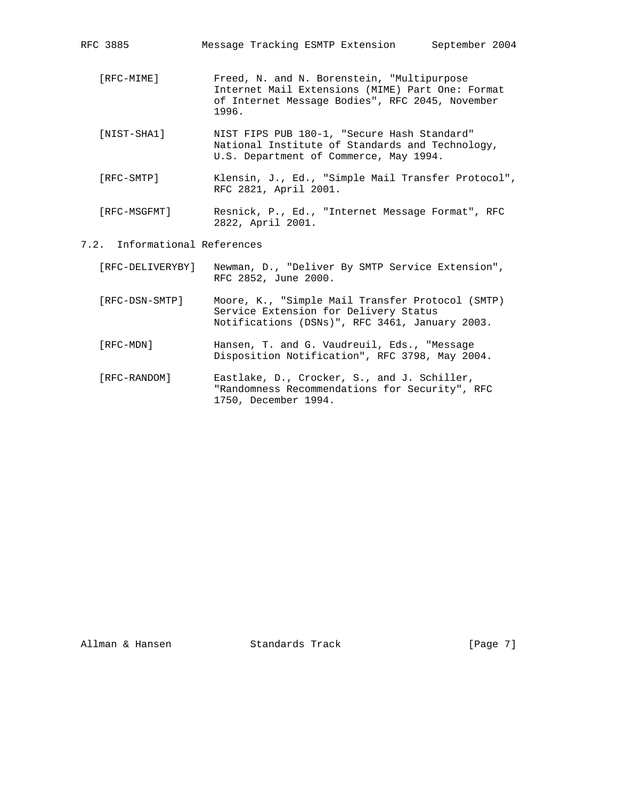| RFC 3885                      | Message Tracking ESMTP Extension<br>September 2004                                                                                                         |
|-------------------------------|------------------------------------------------------------------------------------------------------------------------------------------------------------|
| [RFC-MIME]                    | Freed, N. and N. Borenstein, "Multipurpose<br>Internet Mail Extensions (MIME) Part One: Format<br>of Internet Message Bodies", RFC 2045, November<br>1996. |
| [NIST-SHA1]                   | NIST FIPS PUB 180-1, "Secure Hash Standard"<br>National Institute of Standards and Technology,<br>U.S. Department of Commerce, May 1994.                   |
| [RFC-SMTP]                    | Klensin, J., Ed., "Simple Mail Transfer Protocol",<br>RFC 2821, April 2001.                                                                                |
| [RFC-MSGFMT]                  | Resnick, P., Ed., "Internet Message Format", RFC<br>2822, April 2001.                                                                                      |
| 7.2. Informational References |                                                                                                                                                            |
| [RFC-DELIVERYBY]              | Newman, D., "Deliver By SMTP Service Extension",<br>RFC 2852, June 2000.                                                                                   |
| [RFC-DSN-SMTP]                | Moore, K., "Simple Mail Transfer Protocol (SMTP)<br>Service Extension for Delivery Status<br>Notifications (DSNs)", RFC 3461, January 2003.                |
| [RFC-MDN]                     | Hansen, T. and G. Vaudreuil, Eds., "Message<br>Disposition Notification", RFC 3798, May 2004.                                                              |
| [RFC-RANDOM]                  | Eastlake, D., Crocker, S., and J. Schiller,<br>"Randomness Recommendations for Security", RFC                                                              |

1750, December 1994.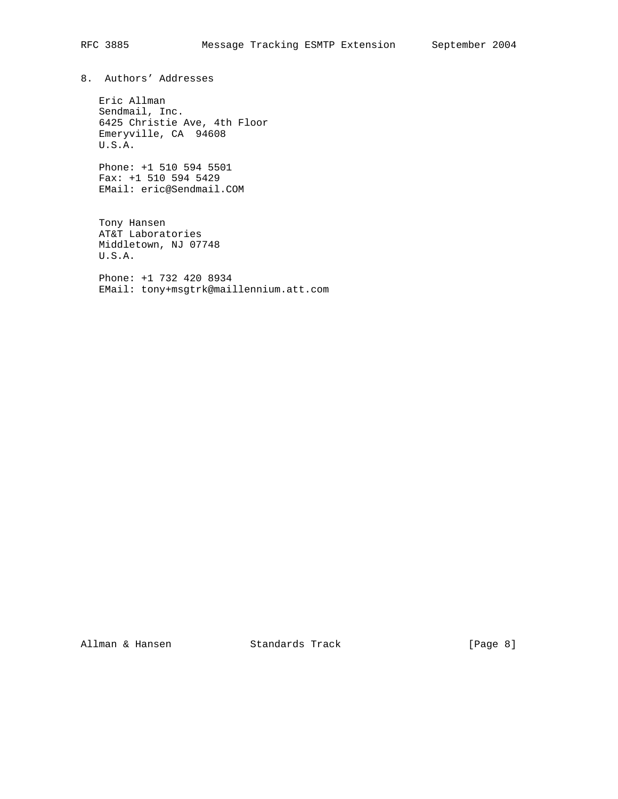8. Authors' Addresses

 Eric Allman Sendmail, Inc. 6425 Christie Ave, 4th Floor Emeryville, CA 94608 U.S.A.

 Phone: +1 510 594 5501 Fax: +1 510 594 5429 EMail: eric@Sendmail.COM

 Tony Hansen AT&T Laboratories Middletown, NJ 07748 U.S.A.

 Phone: +1 732 420 8934 EMail: tony+msgtrk@maillennium.att.com

Allman & Hansen Standards Track [Page 8]